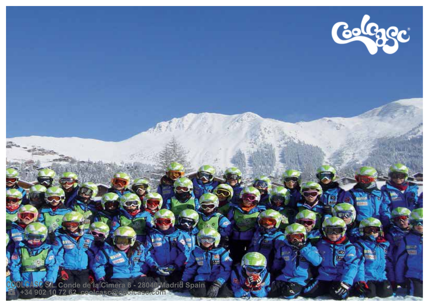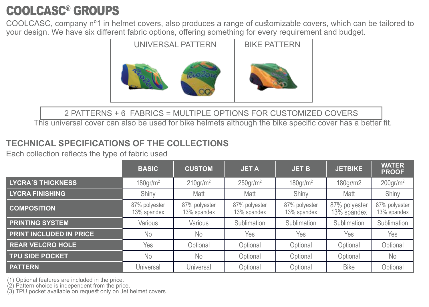## COOLCASC® GROUPS

COOLCASC, company nº1 in helmet covers, also produces a range of customizable covers, which can be tailored to your design. We have six different fabric options, offering something for every requirement and budget.



#### 2 PATTERNS + 6 FABRICS = MULTIPLE OPTIONS FOR CUSTOMIZED COVERS

This universal cover can also be used for bike helmets although the bike specific cover has a better fit.

#### **TECHNICAL SPECIFICATIONS OF THE COLLECTIONS**

Each collection reflects the type of fabric used

|                                | <b>BASIC</b>                 | <b>CUSTOM</b>                | <b>JETA</b>                  | <b>JET B</b>                 | <b>JETBIKE</b>               | <b>WATER</b><br><b>PROOF</b> |
|--------------------------------|------------------------------|------------------------------|------------------------------|------------------------------|------------------------------|------------------------------|
| <b>LYCRA'S THICKNESS</b>       | $180$ gr/m <sup>2</sup>      | $210$ gr/m <sup>2</sup>      | $250$ gr/m <sup>2</sup>      | $180$ gr/m <sup>2</sup>      | 180gr/m2                     | $200$ gr/m <sup>2</sup>      |
| <b>LYCRA FINISHING</b>         | Shiny                        | Matt                         | Matt                         | Shiny                        | Matt                         | Shiny                        |
| <b>COMPOSITION</b>             | 87% polyester<br>13% spandex | 87% polyester<br>13% spandex | 87% polyester<br>13% spandex | 87% polyester<br>13% spandex | 87% polyester<br>13% spandex | 87% polyester<br>13% spandex |
| <b>PRINTING SYSTEM</b>         | Various                      | Various                      | Sublimation                  | Sublimation                  | Sublimation                  | Sublimation                  |
| <b>PRINT INCLUDED IN PRICE</b> | No                           | No                           | Yes                          | Yes                          | Yes                          | Yes                          |
| <b>REAR VELCRO HOLE</b>        | Yes                          | Optional                     | Optional                     | Optional                     | Optional                     | Optional                     |
| <b>TPU SIDE POCKET</b>         | No                           | No                           | Optional                     | Optional                     | Optional                     | No                           |
| <b>PATTERN</b>                 | Universal                    | Universal                    | Optional                     | Optional                     | <b>Bike</b>                  | Optional                     |

(1) Optional features are included in the price.

(2) Pattern choice is independent from the price.

(3) TPU pocket available on request only on Jet helmet covers.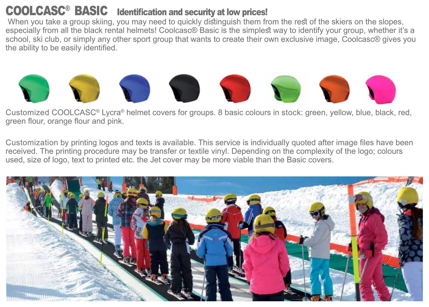#### COOLCASC® BASIC Identification and security at low prices!

When you take a group skiing, you may need to quickly distinguish them from the rest of the skiers on the slopes, especially from all the black rental helmets! Coolcasc® Basic is the simplest way to identify your group, whether it's a school, ski club, or simply any other sport group that wants to create their own exclusive image, Coolcasc® gives you the ability to be easily identified.



Customized COOLCASC® Lycra® helmet covers for groups. 8 basic colours in stock: green, yellow, blue, black, red, green flour, orange flour and pink.

Customization by printing logos and texts is available. This service is individually quoted after image files have been received. The printing procedure may be transfer or textile vinyl. Depending on the complexity of the logo; colours used, size of logo, text to printed etc. the Jet cover may be more viable than the Basic covers.

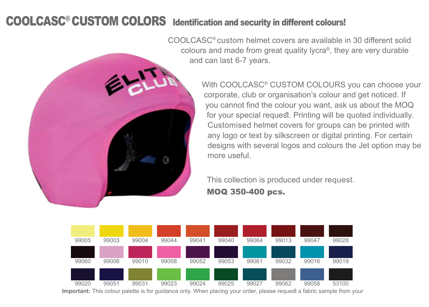#### COOLCASC<sup>®</sup> CUSTOM COLORS Identification and security in different colours!



COOLCASC® custom helmet covers are available in 30 different solid colours and made from great quality lycra®, they are very durable and can last 6-7 years.

> With COOLCASC® CUSTOM COLOURS you can choose your corporate, club or organisation's colour and get noticed. If you cannot find the colour you want, ask us about the MOQ for your special request. Printing will be quoted individually. Customised helmet covers for groups can be printed with any logo or text by silkscreen or digital printing. For certain designs with several logos and colours the Jet option may be more useful.

This collection is produced under request.

MOQ 350-400 pcs.



**Important:** This colour palette is for guidance only. When placing your order, please request a fabric sample from your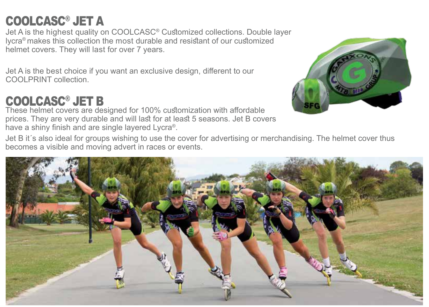# COOLCASC® JET A

Jet A is the highest quality on COOLCASC® Customized collections. Double layer lycra® makes this collection the most durable and resistant of our customized helmet covers. They will last for over 7 years.

Jet A is the best choice if you want an exclusive design, different to our COOLPRINT collection.

# COOLCASC® JET B

These helmet covers are designed for 100% customization with affordable prices. They are very durable and will last for at least 5 seasons. Jet B covers have a shiny finish and are single layered Lycra®.



Jet B it´s also ideal for groups wishing to use the cover for advertising or merchandising. The helmet cover thus becomes a visible and moving advert in races or events.

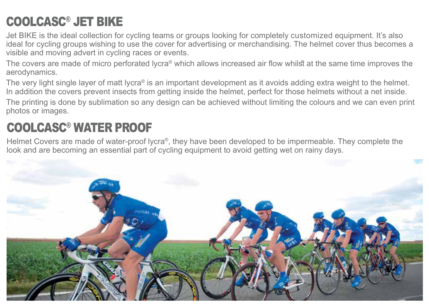# COOLCASC® JET BIKE

Jet BIKE is the ideal collection for cycling teams or groups looking for completely customized equipment. It's also ideal for cycling groups wishing to use the cover for advertising or merchandising. The helmet cover thus becomes a visible and moving advert in cycling races or events.

The covers are made of micro perforated lycra® which allows increased air flow whilst at the same time improves the aerodynamics.

The very light single layer of matt lycra® is an important development as it avoids adding extra weight to the helmet. In addition the covers prevent insects from getting inside the helmet, perfect for those helmets without a net inside. The printing is done by sublimation so any design can be achieved without limiting the colours and we can even print photos or images.

### COOLCASC® WATER PROOF

Helmet Covers are made of water-proof lycra®, they have been developed to be impermeable. They complete the look and are becoming an essential part of cycling equipment to avoid getting wet on rainy days.

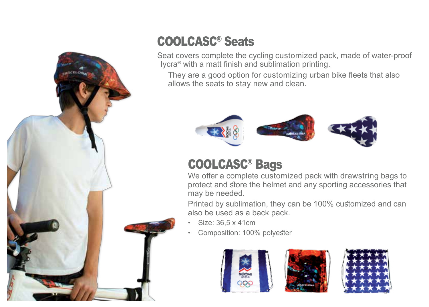

# COOLCASC® Seats

Seat covers complete the cycling customized pack, made of water-proof lycra® with a matt finish and sublimation printing.

They are a good option for customizing urban bike fleets that also allows the seats to stay new and clean.



## COOLCASC® Bags

We offer a complete customized pack with drawstring bags to protect and store the helmet and any sporting accessories that may be needed.

Printed by sublimation, they can be 100% customized and can also be used as a back pack.

- Size: 36,5 x 41cm
- Composition: 100% polyester